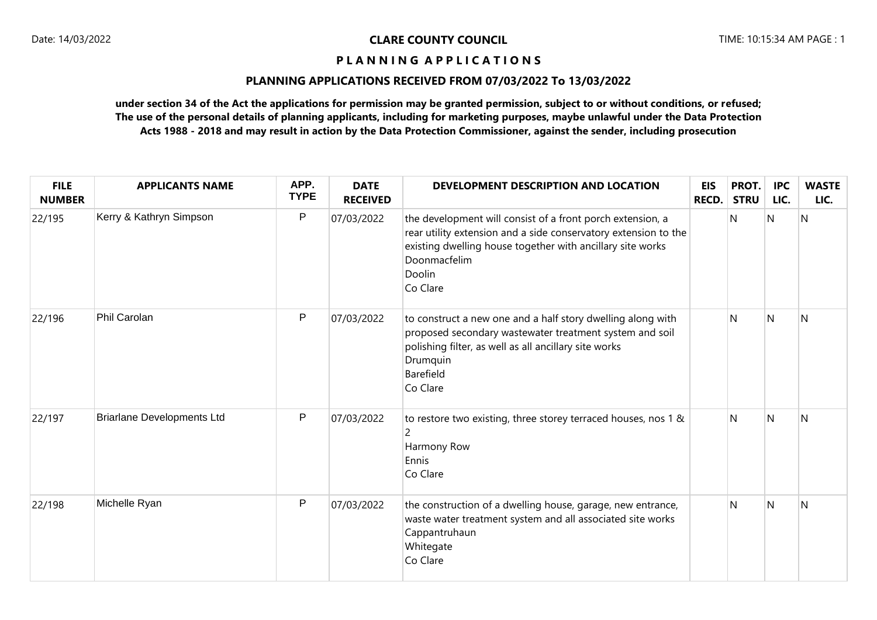## **PLANNING APPLICATIONS RECEIVED FROM 07/03/2022 To 13/03/2022**

| <b>FILE</b><br><b>NUMBER</b> | <b>APPLICANTS NAME</b>            | APP.<br><b>TYPE</b> | <b>DATE</b><br><b>RECEIVED</b> | DEVELOPMENT DESCRIPTION AND LOCATION                                                                                                                                                                                              | <b>EIS</b><br><b>RECD.</b> | PROT.<br><b>STRU</b> | <b>IPC</b><br>LIC. | <b>WASTE</b><br>LIC. |
|------------------------------|-----------------------------------|---------------------|--------------------------------|-----------------------------------------------------------------------------------------------------------------------------------------------------------------------------------------------------------------------------------|----------------------------|----------------------|--------------------|----------------------|
| 22/195                       | Kerry & Kathryn Simpson           | P                   | 07/03/2022                     | the development will consist of a front porch extension, a<br>rear utility extension and a side conservatory extension to the<br>existing dwelling house together with ancillary site works<br>Doonmacfelim<br>Doolin<br>Co Clare |                            | N                    | $\overline{N}$     | IN.                  |
| 22/196                       | Phil Carolan                      | P                   | 07/03/2022                     | to construct a new one and a half story dwelling along with<br>proposed secondary wastewater treatment system and soil<br>polishing filter, as well as all ancillary site works<br>Drumquin<br>Barefield<br>Co Clare              |                            | N                    | N                  | N                    |
| 22/197                       | <b>Briarlane Developments Ltd</b> | P                   | 07/03/2022                     | to restore two existing, three storey terraced houses, nos 1 &<br>Harmony Row<br>Ennis<br>Co Clare                                                                                                                                |                            | N                    | $\overline{N}$     | IN.                  |
| 22/198                       | Michelle Ryan                     | P                   | 07/03/2022                     | the construction of a dwelling house, garage, new entrance,<br>waste water treatment system and all associated site works<br>Cappantruhaun<br>Whitegate<br>Co Clare                                                               |                            | N                    | N                  | IN.                  |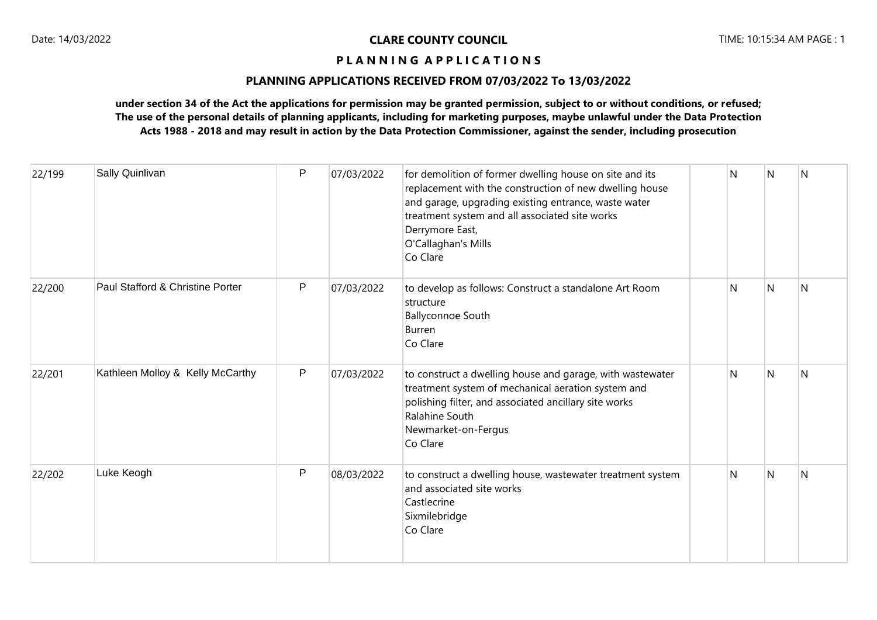# **PLANNING APPLICATIONS RECEIVED FROM 07/03/2022 To 13/03/2022**

| 22/199 | Sally Quinlivan                  | P | 07/03/2022 | for demolition of former dwelling house on site and its<br>replacement with the construction of new dwelling house<br>and garage, upgrading existing entrance, waste water<br>treatment system and all associated site works<br>Derrymore East,<br>O'Callaghan's Mills<br>Co Clare | N | N | $\overline{N}$ |
|--------|----------------------------------|---|------------|------------------------------------------------------------------------------------------------------------------------------------------------------------------------------------------------------------------------------------------------------------------------------------|---|---|----------------|
| 22/200 | Paul Stafford & Christine Porter | P | 07/03/2022 | to develop as follows: Construct a standalone Art Room<br>structure<br><b>Ballyconnoe South</b><br>Burren<br>Co Clare                                                                                                                                                              | N | N | <sup>N</sup>   |
| 22/201 | Kathleen Molloy & Kelly McCarthy | P | 07/03/2022 | to construct a dwelling house and garage, with wastewater<br>treatment system of mechanical aeration system and<br>polishing filter, and associated ancillary site works<br>Ralahine South<br>Newmarket-on-Fergus<br>Co Clare                                                      | N | N | $\overline{N}$ |
| 22/202 | Luke Keogh                       | P | 08/03/2022 | to construct a dwelling house, wastewater treatment system<br>and associated site works<br>Castlecrine<br>Sixmilebridge<br>Co Clare                                                                                                                                                | N | N | N              |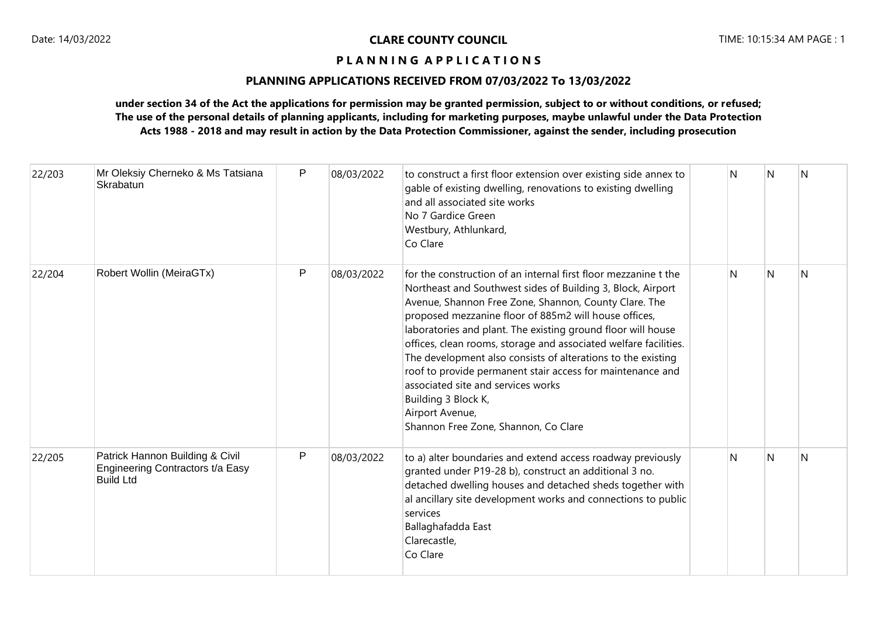# **PLANNING APPLICATIONS RECEIVED FROM 07/03/2022 To 13/03/2022**

| 22/203 | Mr Oleksiy Cherneko & Ms Tatsiana<br>Skrabatun                                          | P | 08/03/2022 | to construct a first floor extension over existing side annex to<br>gable of existing dwelling, renovations to existing dwelling<br>and all associated site works<br>No 7 Gardice Green<br>Westbury, Athlunkard,<br>Co Clare                                                                                                                                                                                                                                                                                                                                                                                                               | N  | N | N |
|--------|-----------------------------------------------------------------------------------------|---|------------|--------------------------------------------------------------------------------------------------------------------------------------------------------------------------------------------------------------------------------------------------------------------------------------------------------------------------------------------------------------------------------------------------------------------------------------------------------------------------------------------------------------------------------------------------------------------------------------------------------------------------------------------|----|---|---|
| 22/204 | Robert Wollin (MeiraGTx)                                                                | P | 08/03/2022 | for the construction of an internal first floor mezzanine t the<br>Northeast and Southwest sides of Building 3, Block, Airport<br>Avenue, Shannon Free Zone, Shannon, County Clare. The<br>proposed mezzanine floor of 885m2 will house offices,<br>laboratories and plant. The existing ground floor will house<br>offices, clean rooms, storage and associated welfare facilities.<br>The development also consists of alterations to the existing<br>roof to provide permanent stair access for maintenance and<br>associated site and services works<br>Building 3 Block K,<br>Airport Avenue,<br>Shannon Free Zone, Shannon, Co Clare | N. | N | N |
| 22/205 | Patrick Hannon Building & Civil<br>Engineering Contractors t/a Easy<br><b>Build Ltd</b> | P | 08/03/2022 | to a) alter boundaries and extend access roadway previously<br>granted under P19-28 b), construct an additional 3 no.<br>detached dwelling houses and detached sheds together with<br>al ancillary site development works and connections to public<br>services<br>Ballaghafadda East<br>Clarecastle,<br>Co Clare                                                                                                                                                                                                                                                                                                                          | N  | N | N |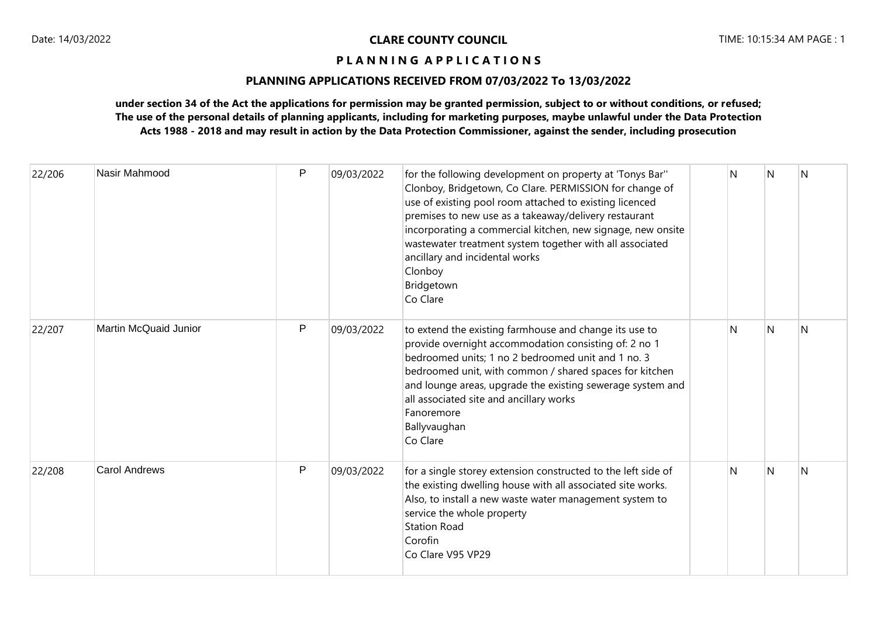# **PLANNING APPLICATIONS RECEIVED FROM 07/03/2022 To 13/03/2022**

| 22/206 | Nasir Mahmood         | P | 09/03/2022 | for the following development on property at 'Tonys Bar"<br>Clonboy, Bridgetown, Co Clare. PERMISSION for change of<br>use of existing pool room attached to existing licenced<br>premises to new use as a takeaway/delivery restaurant<br>incorporating a commercial kitchen, new signage, new onsite<br>wastewater treatment system together with all associated<br>ancillary and incidental works<br>Clonboy<br>Bridgetown<br>Co Clare | N | N   | N |
|--------|-----------------------|---|------------|-------------------------------------------------------------------------------------------------------------------------------------------------------------------------------------------------------------------------------------------------------------------------------------------------------------------------------------------------------------------------------------------------------------------------------------------|---|-----|---|
| 22/207 | Martin McQuaid Junior | P | 09/03/2022 | to extend the existing farmhouse and change its use to<br>provide overnight accommodation consisting of: 2 no 1<br>bedroomed units; 1 no 2 bedroomed unit and 1 no. 3<br>bedroomed unit, with common / shared spaces for kitchen<br>and lounge areas, upgrade the existing sewerage system and<br>all associated site and ancillary works<br>Fanoremore<br>Ballyvaughan<br>Co Clare                                                       | N | N   | N |
| 22/208 | <b>Carol Andrews</b>  | P | 09/03/2022 | for a single storey extension constructed to the left side of<br>the existing dwelling house with all associated site works.<br>Also, to install a new waste water management system to<br>service the whole property<br><b>Station Road</b><br>Corofin<br>Co Clare V95 VP29                                                                                                                                                              | N | l N | N |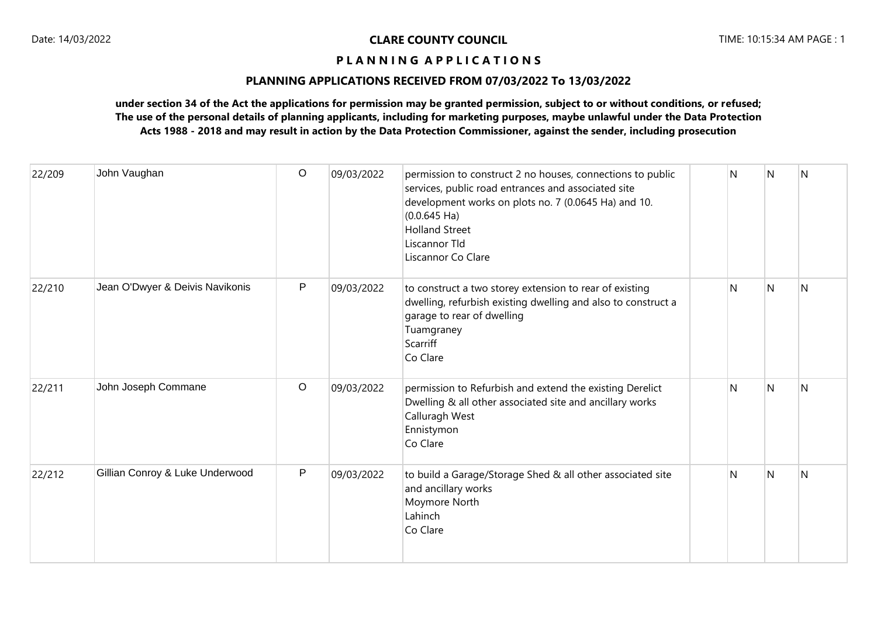# **PLANNING APPLICATIONS RECEIVED FROM 07/03/2022 To 13/03/2022**

| 22/209 | John Vaughan                    | $\circ$ | 09/03/2022 | permission to construct 2 no houses, connections to public<br>services, public road entrances and associated site<br>development works on plots no. 7 (0.0645 Ha) and 10.<br>$(0.0.645 \text{ Ha})$<br><b>Holland Street</b><br>Liscannor Tld<br>Liscannor Co Clare | N | IN.          | <sup>N</sup>   |
|--------|---------------------------------|---------|------------|---------------------------------------------------------------------------------------------------------------------------------------------------------------------------------------------------------------------------------------------------------------------|---|--------------|----------------|
| 22/210 | Jean O'Dwyer & Deivis Navikonis | P       | 09/03/2022 | to construct a two storey extension to rear of existing<br>dwelling, refurbish existing dwelling and also to construct a<br>garage to rear of dwelling<br>Tuamgraney<br>Scarriff<br>Co Clare                                                                        | N | N            | N              |
| 22/211 | John Joseph Commane             | $\circ$ | 09/03/2022 | permission to Refurbish and extend the existing Derelict<br>Dwelling & all other associated site and ancillary works<br>Calluragh West<br>Ennistymon<br>Co Clare                                                                                                    | N | N            | $\overline{N}$ |
| 22/212 | Gillian Conroy & Luke Underwood | P       | 09/03/2022 | to build a Garage/Storage Shed & all other associated site<br>and ancillary works<br>Moymore North<br>Lahinch<br>Co Clare                                                                                                                                           | N | <sup>N</sup> | N              |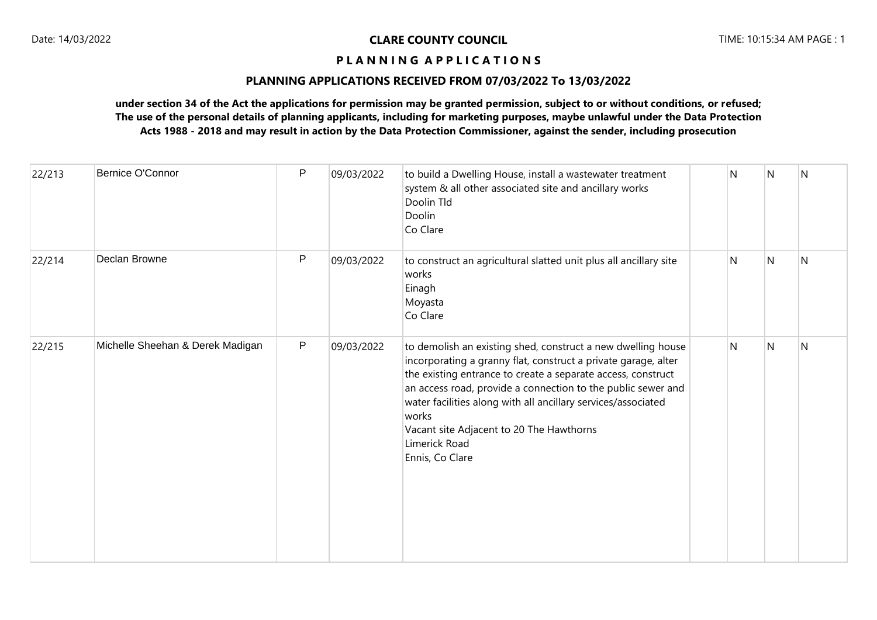# **PLANNING APPLICATIONS RECEIVED FROM 07/03/2022 To 13/03/2022**

| 22/213 | Bernice O'Connor                 | $\mathsf{P}$ | 09/03/2022 | to build a Dwelling House, install a wastewater treatment<br>system & all other associated site and ancillary works<br>Doolin Tld<br>Doolin<br>Co Clare                                                                                                                                                                                                                                                                  | N | N | N |
|--------|----------------------------------|--------------|------------|--------------------------------------------------------------------------------------------------------------------------------------------------------------------------------------------------------------------------------------------------------------------------------------------------------------------------------------------------------------------------------------------------------------------------|---|---|---|
| 22/214 | Declan Browne                    | $\mathsf{P}$ | 09/03/2022 | to construct an agricultural slatted unit plus all ancillary site<br>works<br>Einagh<br>Moyasta<br>Co Clare                                                                                                                                                                                                                                                                                                              | N | N | N |
| 22/215 | Michelle Sheehan & Derek Madigan | P            | 09/03/2022 | to demolish an existing shed, construct a new dwelling house<br>incorporating a granny flat, construct a private garage, alter<br>the existing entrance to create a separate access, construct<br>an access road, provide a connection to the public sewer and<br>water facilities along with all ancillary services/associated<br>works<br>Vacant site Adjacent to 20 The Hawthorns<br>Limerick Road<br>Ennis, Co Clare | N | N | N |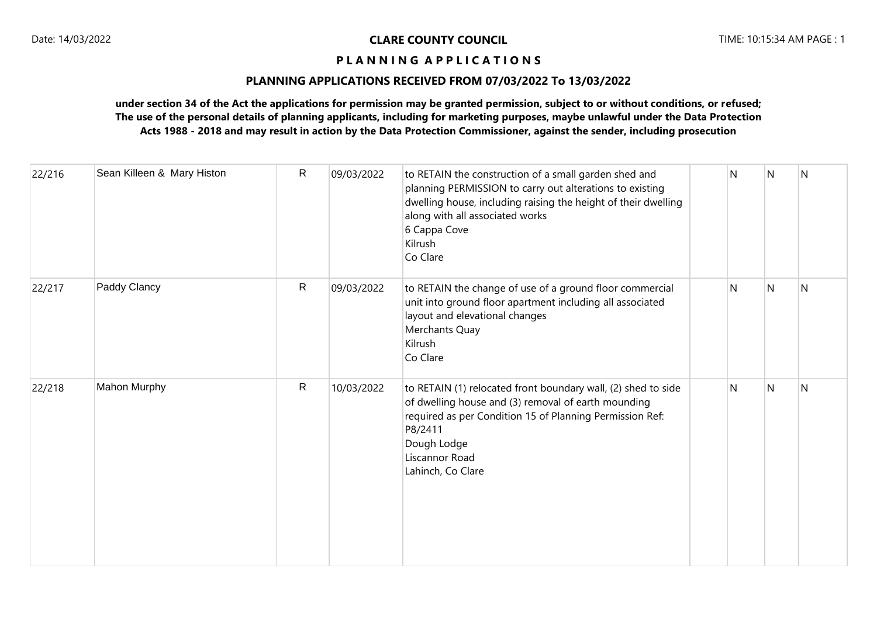# **PLANNING APPLICATIONS RECEIVED FROM 07/03/2022 To 13/03/2022**

| 22/216 | Sean Killeen & Mary Histon | R            | 09/03/2022 | to RETAIN the construction of a small garden shed and<br>planning PERMISSION to carry out alterations to existing<br>dwelling house, including raising the height of their dwelling<br>along with all associated works<br>6 Cappa Cove<br>Kilrush<br>Co Clare | N | N | N   |
|--------|----------------------------|--------------|------------|---------------------------------------------------------------------------------------------------------------------------------------------------------------------------------------------------------------------------------------------------------------|---|---|-----|
| 22/217 | Paddy Clancy               | $\mathsf{R}$ | 09/03/2022 | to RETAIN the change of use of a ground floor commercial<br>unit into ground floor apartment including all associated<br>layout and elevational changes<br>Merchants Quay<br>Kilrush<br>Co Clare                                                              | N | N | IN. |
| 22/218 | Mahon Murphy               | $\mathsf{R}$ | 10/03/2022 | to RETAIN (1) relocated front boundary wall, (2) shed to side<br>of dwelling house and (3) removal of earth mounding<br>required as per Condition 15 of Planning Permission Ref:<br>P8/2411<br>Dough Lodge<br>Liscannor Road<br>Lahinch, Co Clare             | N | N | N   |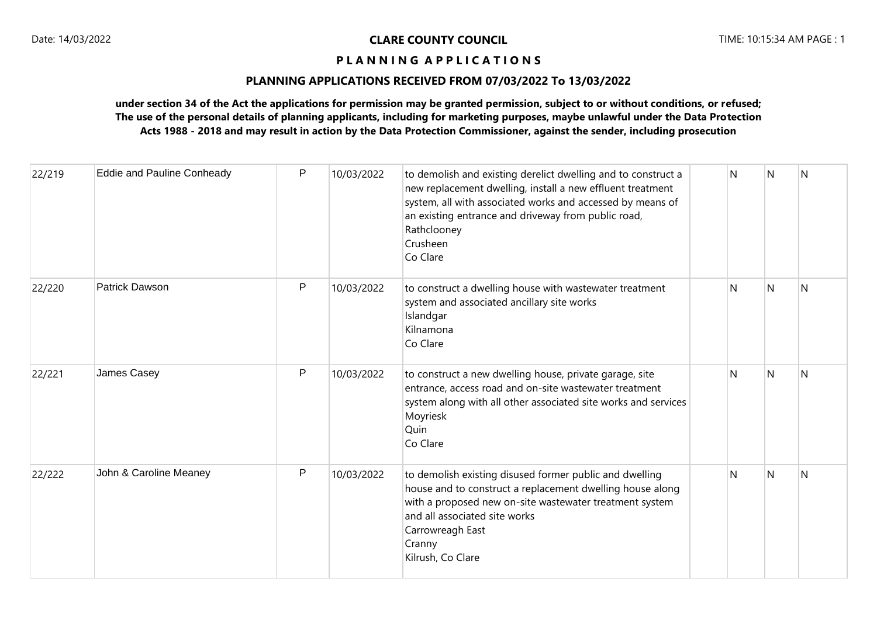# **PLANNING APPLICATIONS RECEIVED FROM 07/03/2022 To 13/03/2022**

| 22/219 | <b>Eddie and Pauline Conheady</b> | P            | 10/03/2022 | to demolish and existing derelict dwelling and to construct a<br>new replacement dwelling, install a new effluent treatment<br>system, all with associated works and accessed by means of<br>an existing entrance and driveway from public road,<br>Rathclooney<br>Crusheen<br>Co Clare | Ν | N              | $\overline{N}$ |
|--------|-----------------------------------|--------------|------------|-----------------------------------------------------------------------------------------------------------------------------------------------------------------------------------------------------------------------------------------------------------------------------------------|---|----------------|----------------|
| 22/220 | Patrick Dawson                    | P            | 10/03/2022 | to construct a dwelling house with wastewater treatment<br>system and associated ancillary site works<br>Islandgar<br>Kilnamona<br>Co Clare                                                                                                                                             | N | $\overline{N}$ | N              |
| 22/221 | James Casey                       | $\mathsf{P}$ | 10/03/2022 | to construct a new dwelling house, private garage, site<br>entrance, access road and on-site wastewater treatment<br>system along with all other associated site works and services<br>Moyriesk<br>Quin<br>Co Clare                                                                     | N | N              | IN.            |
| 22/222 | John & Caroline Meaney            | $\mathsf{P}$ | 10/03/2022 | to demolish existing disused former public and dwelling<br>house and to construct a replacement dwelling house along<br>with a proposed new on-site wastewater treatment system<br>and all associated site works<br>Carrowreagh East<br>Cranny<br>Kilrush, Co Clare                     | N | N              | N              |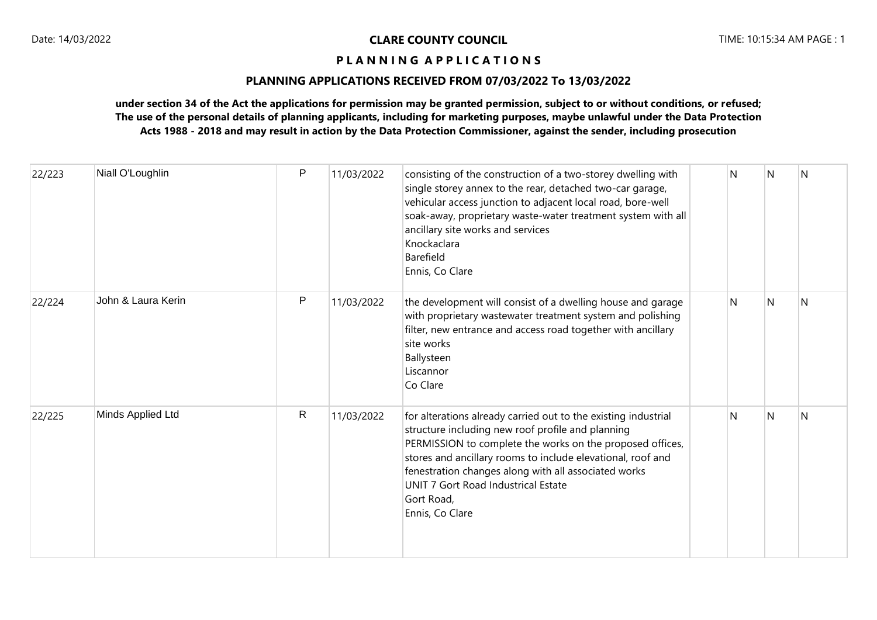# **PLANNING APPLICATIONS RECEIVED FROM 07/03/2022 To 13/03/2022**

| 22/223 | Niall O'Loughlin   | P            | 11/03/2022 | consisting of the construction of a two-storey dwelling with<br>single storey annex to the rear, detached two-car garage,<br>vehicular access junction to adjacent local road, bore-well<br>soak-away, proprietary waste-water treatment system with all<br>ancillary site works and services<br>Knockaclara<br>Barefield<br>Ennis, Co Clare                                    | N | N | N |
|--------|--------------------|--------------|------------|---------------------------------------------------------------------------------------------------------------------------------------------------------------------------------------------------------------------------------------------------------------------------------------------------------------------------------------------------------------------------------|---|---|---|
| 22/224 | John & Laura Kerin | P            | 11/03/2022 | the development will consist of a dwelling house and garage<br>with proprietary wastewater treatment system and polishing<br>filter, new entrance and access road together with ancillary<br>site works<br>Ballysteen<br>Liscannor<br>Co Clare                                                                                                                                  | N | N | N |
| 22/225 | Minds Applied Ltd  | $\mathsf{R}$ | 11/03/2022 | for alterations already carried out to the existing industrial<br>structure including new roof profile and planning<br>PERMISSION to complete the works on the proposed offices,<br>stores and ancillary rooms to include elevational, roof and<br>fenestration changes along with all associated works<br>UNIT 7 Gort Road Industrical Estate<br>Gort Road,<br>Ennis, Co Clare | N | N | N |